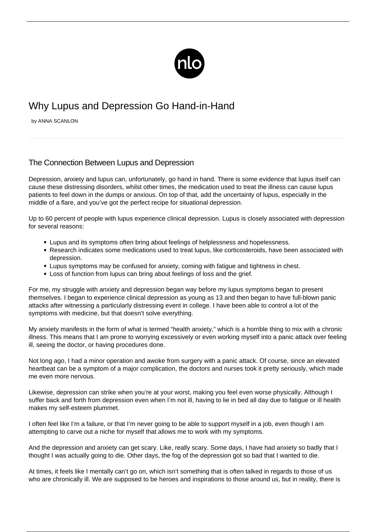

# Why Lupus and Depression Go Hand-in-Hand

by ANNA SCANLON

# The Connection Between Lupus and Depression

Depression, anxiety and lupus can, unfortunately, go hand in hand. There is some evidence that lupus itself can cause these distressing disorders, whilst other times, the medication used to treat the illness can cause lupus patients to feel down in the dumps or anxious. On top of that, add the uncertainty of lupus, especially in the middle of a flare, and you've got the perfect recipe for situational depression.

Up to 60 percent of people with lupus experience clinical depression. Lupus is closely associated with depression for several reasons:

- Lupus and its symptoms often bring about feelings of helplessness and hopelessness.
- Research indicates some medications used to treat lupus, like corticosteroids, have been associated with depression.
- Lupus symptoms may be confused for anxiety, coming with fatigue and tightness in chest.
- Loss of function from lupus can bring about feelings of loss and the grief.

For me, my struggle with anxiety and depression began way before my [lupus symptoms](/lesser-known-lupus-symptoms/) began to present themselves. I began to experience clinical depression as young as 13 and then began to have full-blown panic attacks after witnessing a particularly distressing event in college. I have been able to control a lot of the symptoms with medicine, but that doesn't solve everything.

My anxiety manifests in the form of what is termed "health anxiety," which is a horrible thing to mix with a chronic illness. This means that I am prone to worrying excessively or even working myself into a panic attack over feeling ill, seeing the doctor, or having procedures done.

Not long ago, I had a minor operation and awoke from surgery with a panic attack. Of course, since an elevated heartbeat can be a symptom of a major complication, the doctors and nurses took it pretty seriously, which made me even more nervous.

Likewise, depression can strike when you're at your worst, making you feel even worse physically. Although I suffer back and forth from depression even when I'm not ill, having to lie in bed all day due to fatigue or ill health makes my self-esteem plummet.

I often feel like I'm a failure, or that I'm never going to be able to support myself in a job, even though I am attempting to carve out a niche for myself that allows me to work with my symptoms.

And the depression and anxiety can get scary. Like, really scary. Some days, I have had anxiety so badly that I thought I was actually going to die. Other days, the fog of the depression got so bad that I wanted to die.

At times, it feels like I mentally can't go on, which isn't something that is often talked in regards to those of us who are chronically ill. We are supposed to be heroes and inspirations to those around us, but in reality, there is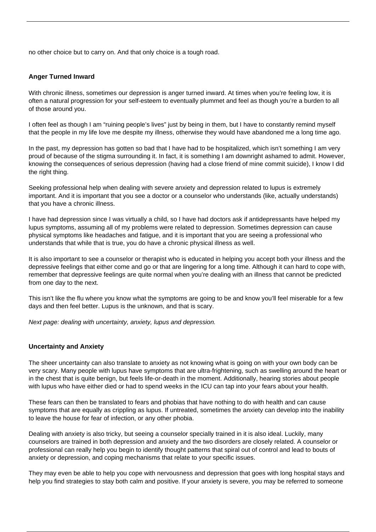no other choice but to carry on. And that only choice is a tough road.

## **Anger Turned Inward**

With chronic illness, sometimes our depression is anger turned inward. At times when you're feeling low, it is often a natural progression for your self-esteem to eventually plummet and feel as though you're a burden to all of those around you.

I often feel as though I am "ruining people's lives" just by being in them, but I have to constantly remind myself that the people in my life love me despite my illness, otherwise they would have abandoned me a long time ago.

In the past, my depression has gotten so bad that I have had to be hospitalized, which isn't something I am very proud of because of the stigma surrounding it. In fact, it is something I am downright ashamed to admit. However, knowing the consequences of serious depression (having had a close friend of mine commit suicide), I know I did the right thing.

Seeking professional help when dealing with severe anxiety and depression related to lupus is extremely important. And it is important that you see a doctor or a counselor who understands (like, actually understands) that you have a chronic illness.

I have had depression since I was virtually a child, so I have had doctors ask if antidepressants have helped my lupus symptoms, assuming all of my problems were related to depression. Sometimes depression can cause physical symptoms like headaches and fatigue, and it is important that you are seeing a professional who understands that while that is true, you do have a chronic physical illness as well.

It is also important to see a counselor or therapist who is educated in helping you accept both your illness and the depressive feelings that either come and go or that are lingering for a long time. Although it can hard to cope with, remember that depressive feelings are quite normal when you're dealing with an illness that cannot be predicted from one day to the next.

This isn't like the flu where you know what the symptoms are going to be and know you'll feel miserable for a few days and then feel better. Lupus is the unknown, and that is scary.

Next page: dealing with uncertainty, anxiety, lupus and depression.

#### **Uncertainty and Anxiety**

The sheer uncertainty can also translate to anxiety as not knowing what is going on with your own body can be very scary. Many people with lupus have symptoms that are ultra-frightening, such as swelling around the heart or in the chest that is quite benign, but feels life-or-death in the moment. Additionally, hearing stories about people with lupus who have either died or had to spend weeks in the ICU can tap into your fears about your health.

These fears can then be translated to fears and phobias that have nothing to do with health and can cause symptoms that are equally as crippling as lupus. If untreated, sometimes the anxiety can develop into the inability to leave the house for fear of infection, or any other phobia.

Dealing with anxiety is also tricky, but seeing a counselor specially trained in it is also ideal. Luckily, many counselors are trained in both depression and anxiety and the two disorders are closely related. A counselor or professional can really help you begin to identify thought patterns that spiral out of control and lead to bouts of anxiety or depression, and coping mechanisms that relate to your specific issues.

They may even be able to help you cope with nervousness and depression that goes with long hospital stays and help you find strategies to stay both calm and positive. If your anxiety is severe, you may be referred to someone